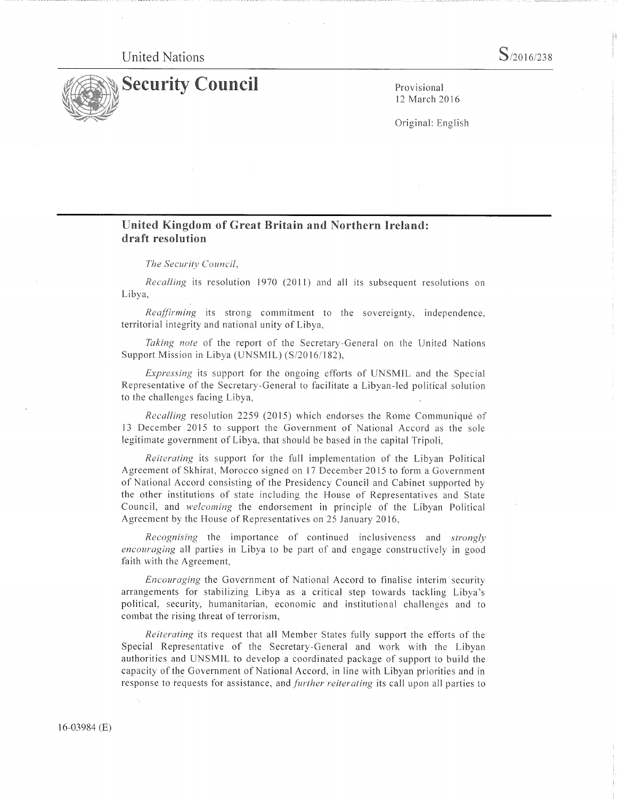United Nations



12 March 2016

Original: English

## United Kingdom of Great Britain and Northern Ireland: draft resolution

The Security Council,

Recalling its resolution 1970 (2011) and all its subsequent resolutions on Libya,

Reaffirming its strong commitment to the sovereignty, independence, territorial integrity and national unity of Libya,

Taking note of the report of the Secretary-General on the United Nations Support Mission in Libya (UNSMIL) (S/2016/182).

Expressing its support for the ongoing efforts of UNSM1L and the Special Representative of the Secretary-General to facilitate a Libyan-led political solution to the challenges facing Libya,

Recalling resolution 2259 (2015) which endorses the Rome Communiqué of 13 December 2015 to support the Government of National Accord as the sole legitimate government of Libya, that should be based in the capital Tripoli,

Reiterating its support for the full implementation of the Libyan Political Agreement of Skhirat, Morocco signed on 17 December 2015 to form a Government of National Accord consisting of the Presidency Council and Cabinet supported by the other institutions of state including the House of Representatives and State Council, and welcoming the endorsement in principle of the Libyan Political Agreement by the House of Representatives on 25 January 2016,

Recognising the importance of continued inclusiveness and strongly encouraging all parties in Libya to be part of and engage constructively in good faith with the Agreement,

Encouraging the Government of National Accord to finalise interim security arrangements for stabilizing Libya as a critical step towards tackling Libya's political, security, humanitarian, economic and institutional challenges and to combat the rising threat of terrorism,

Reiterating its request that all Member States fully support the efforts of the Special Representative of the Secretary-General and work with the Libyan authorities and UNSMIL to develop a coordinated package of support to build the capacity of the Government of National Accord, in line with Libyan priorities and in response to requests for assistance, and *further reiterating* its call upon all parties to